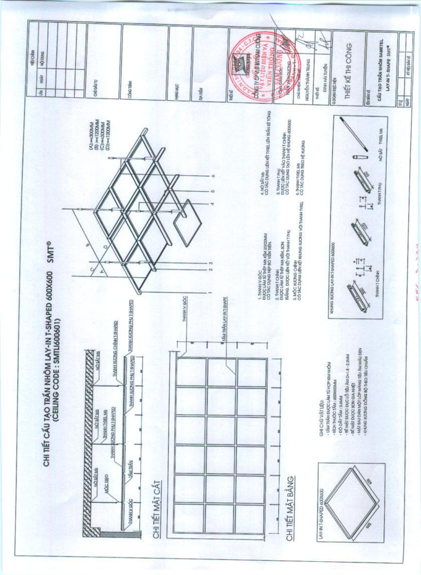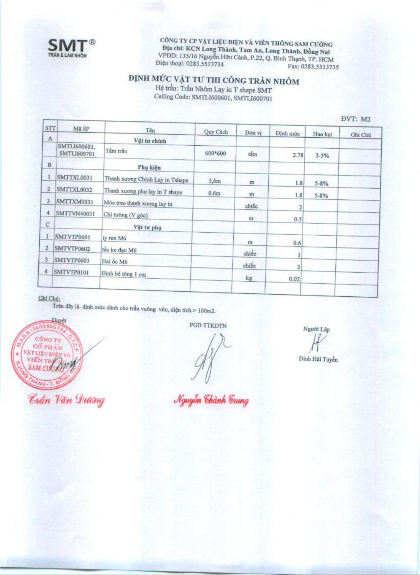

CÔNG TY CP VẬT LIỆU ĐIỆN VÀ VIỄN THÔNG SAM CƯỜNG Địa chỉ: KCN Long Thành, Tam An, Long Thành, Đồng Nai VPDD: 135/16 Nguyễn Hữu Cảnh, P.22, Q. Bình Thạnh, TP. HCM Điện thoại: 0283.5513734 Fax: 0283.5513735

## $\label{eq:DMH} \begin{array}{ll} \textbf{DINH} \ \textbf{M}\textbf{U'C} \ \textbf{V}\textbf{\AA T TU'THI} \ \textbf{C}\textbf{\hat{O}NG} \ \textbf{TR}\textbf{\hat{A}N} \ \textbf{NH}\textbf{\hat{O}M} \\ \textbf{H}\textbf{\hat{e}} \ \text{tr} \textbf{\hat{a}n:} \ \text{Tr} \textbf{\hat{a}n} \ \textbf{N}\textbf{h}\textbf{\hat{o}m} \ \textbf{Lay in} \ \textbf{T} \ \textbf{shape} \ \textbf{SMT} \end{array}$

Ceiling Code: SMTL1600601, SMTL1600701

ĐVT· M2

| Mã SP                       |                                                                                                        |                     |          |                                                               |                                                        | $-1.1.114$                      |
|-----------------------------|--------------------------------------------------------------------------------------------------------|---------------------|----------|---------------------------------------------------------------|--------------------------------------------------------|---------------------------------|
|                             |                                                                                                        |                     |          |                                                               |                                                        | Ghi Chú                         |
| SMTLI600601,<br>SMTLI600701 | Tấm trần                                                                                               | 600*600             | tắm      | 2.78                                                          | $3 - 5%$                                               |                                 |
|                             | Phụ kiện                                                                                               |                     |          |                                                               |                                                        |                                 |
| SMTTXL0031                  | Thanh xương Chính Lay in Tshape                                                                        | 3,6m                |          |                                                               |                                                        |                                 |
|                             | Thanh xương phụ lay in T shape                                                                         | 0.6 <sub>m</sub>    |          |                                                               |                                                        |                                 |
|                             | Móc treo thanh xuong lay in                                                                            |                     |          |                                                               |                                                        |                                 |
|                             | Chỉ tưởng (V góc)                                                                                      |                     |          |                                                               |                                                        |                                 |
|                             | Vật tư phụ                                                                                             |                     |          |                                                               |                                                        |                                 |
|                             | ty ren M6                                                                                              |                     |          |                                                               |                                                        |                                 |
|                             | tắc ke đạn M6                                                                                          |                     |          |                                                               |                                                        |                                 |
|                             | Đai ốc M6                                                                                              |                     |          |                                                               |                                                        |                                 |
| SMTVTP0101<br>4             | Đinh bê tông 1 cm                                                                                      |                     |          |                                                               |                                                        |                                 |
|                             |                                                                                                        |                     |          |                                                               |                                                        |                                 |
|                             | <b>STT</b><br>SMTTXL0032<br>SMTTXM0031<br><b>SMTTVN40031</b><br>SMTVTP0601<br>SMTVTP0602<br>SMTVTP0603 | Tên<br>Vật tư chính | Quy Cách | Đơn vị<br>m<br>m<br>chiếc<br>m<br>111<br>chiếc<br>chiéc<br>kg | Định mức<br>1.8<br>1.8<br>2<br>0.5<br>0.6<br>3<br>0.02 | Hao hut<br>$5 - 8%$<br>$5 - 8%$ |

## Ghi Chú:

Trên đây là định mức dânh cho trần vuông vức, diện tích > 100m2.

Duyệt 6008507 **CÔNG TY** CỔ PHÂN VATLIÊU BIÊN VÀ VIÊN TH **SAM CUOZ** 

PGD TTKDTN

Người Lập

Đinh Hải Tuyền

Nguyễn Chành Crung

**Trần Văn Dương**